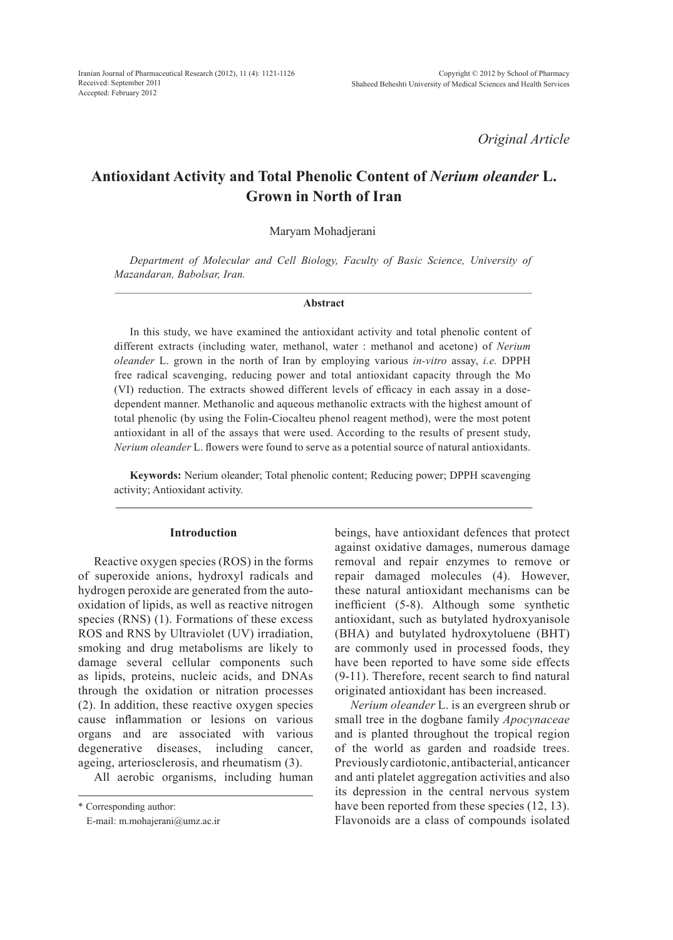*Original Article*

# **Antioxidant Activity and Total Phenolic Content of** *Nerium oleander* **L. Grown in North of Iran**

Maryam Mohadjerani

*Department of Molecular and Cell Biology, Faculty of Basic Science, University of Mazandaran, Babolsar, Iran.* 

#### **Abstract**

In this study, we have examined the antioxidant activity and total phenolic content of different extracts (including water, methanol, water : methanol and acetone) of *Nerium oleander* L. grown in the north of Iran by employing various *in-vitro* assay, *i.e.* DPPH free radical scavenging, reducing power and total antioxidant capacity through the Mo (VI) reduction. The extracts showed different levels of efficacy in each assay in a dosedependent manner. Methanolic and aqueous methanolic extracts with the highest amount of total phenolic (by using the Folin-Ciocalteu phenol reagent method), were the most potent antioxidant in all of the assays that were used. According to the results of present study, *Nerium oleander* L. flowers were found to serve as a potential source of natural antioxidants.

**Keywords:** Nerium oleander; Total phenolic content; Reducing power; DPPH scavenging activity; Antioxidant activity.

## **Introduction**

Reactive oxygen species (ROS) in the forms of superoxide anions, hydroxyl radicals and hydrogen peroxide are generated from the autooxidation of lipids, as well as reactive nitrogen species (RNS) (1). Formations of these excess ROS and RNS by Ultraviolet (UV) irradiation, smoking and drug metabolisms are likely to damage several cellular components such as lipids, proteins, nucleic acids, and DNAs through the oxidation or nitration processes (2). In addition, these reactive oxygen species cause inflammation or lesions on various organs and are associated with various degenerative diseases, including cancer, ageing, arteriosclerosis, and rheumatism (3).

All aerobic organisms, including human

\* Corresponding author:

E-mail: m.mohajerani@umz.ac.ir

beings, have antioxidant defences that protect against oxidative damages, numerous damage removal and repair enzymes to remove or repair damaged molecules (4). However, these natural antioxidant mechanisms can be inefficient (5-8). Although some synthetic antioxidant, such as butylated hydroxyanisole (BHA) and butylated hydroxytoluene (BHT) are commonly used in processed foods, they have been reported to have some side effects (9-11). Therefore, recent search to find natural originated antioxidant has been increased.

*Nerium oleander* L. is an evergreen shrub or small tree in the dogbane family *Apocynaceae* and is planted throughout the tropical region of the world as garden and roadside trees. Previously cardiotonic, antibacterial, anticancer and anti platelet aggregation activities and also its depression in the central nervous system have been reported from these species (12, 13). Flavonoids are a class of compounds isolated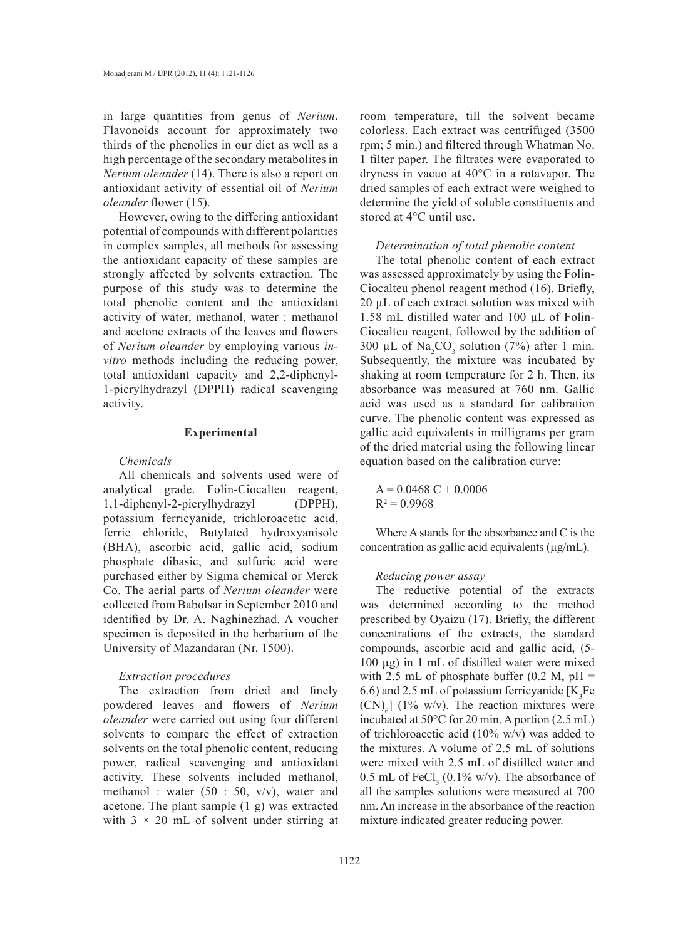in large quantities from genus of *Nerium*. Flavonoids account for approximately two thirds of the phenolics in our diet as well as a high percentage of the secondary metabolites in *Nerium oleander* (14). There is also a report on antioxidant activity of essential oil of *Nerium oleander* flower (15).

However, owing to the differing antioxidant potential of compounds with different polarities in complex samples, all methods for assessing the antioxidant capacity of these samples are strongly affected by solvents extraction. The purpose of this study was to determine the total phenolic content and the antioxidant activity of water, methanol, water : methanol and acetone extracts of the leaves and flowers of *Nerium oleander* by employing various *invitro* methods including the reducing power, total antioxidant capacity and 2,2-diphenyl-1-picrylhydrazyl (DPPH) radical scavenging activity.

## **Experimental**

# *Chemicals*

All chemicals and solvents used were of analytical grade. Folin-Ciocalteu reagent, 1,1-diphenyl-2-picrylhydrazyl (DPPH), potassium ferricyanide, trichloroacetic acid, ferric chloride, Butylated hydroxyanisole (BHA), ascorbic acid, gallic acid, sodium phosphate dibasic, and sulfuric acid were purchased either by Sigma chemical or Merck Co. The aerial parts of *Nerium oleander* were collected from Babolsar in September 2010 and identified by Dr. A. Naghinezhad. A voucher specimen is deposited in the herbarium of the University of Mazandaran (Nr. 1500).

## *Extraction procedures*

The extraction from dried and finely powdered leaves and flowers of *Nerium oleander* were carried out using four different solvents to compare the effect of extraction solvents on the total phenolic content, reducing power, radical scavenging and antioxidant activity. These solvents included methanol, methanol : water  $(50 : 50, v/v)$ , water and acetone. The plant sample (1 g) was extracted with  $3 \times 20$  mL of solvent under stirring at room temperature, till the solvent became colorless. Each extract was centrifuged (3500 rpm; 5 min.) and filtered through Whatman No. 1 filter paper. The filtrates were evaporated to dryness in vacuo at 40°C in a rotavapor. The dried samples of each extract were weighed to determine the yield of soluble constituents and stored at 4°C until use.

## *Determination of total phenolic content*

The total phenolic content of each extract was assessed approximately by using the Folin-Ciocalteu phenol reagent method (16). Briefly, 20 µL of each extract solution was mixed with 1.58 mL distilled water and 100 µL of Folin-Ciocalteu reagent, followed by the addition of 300 µL of  $\text{Na}_2\text{CO}_3$  solution (7%) after 1 min. Subsequently, the mixture was incubated by shaking at room temperature for 2 h. Then, its absorbance was measured at 760 nm. Gallic acid was used as a standard for calibration curve. The phenolic content was expressed as gallic acid equivalents in milligrams per gram of the dried material using the following linear equation based on the calibration curve:

 $A = 0.0468 C + 0.0006$  $R^2 = 0.9968$ 

Where A stands for the absorbance and C is the concentration as gallic acid equivalents  $(\mu g/mL)$ .

#### *Reducing power assay*

The reductive potential of the extracts was determined according to the method prescribed by Oyaizu (17). Briefly, the different concentrations of the extracts, the standard compounds, ascorbic acid and gallic acid, (5- 100 µg) in 1 mL of distilled water were mixed with 2.5 mL of phosphate buffer  $(0.2 \text{ M}, \text{pH})$  = 6.6) and 2.5 mL of potassium ferricyanide  $[K_3Fe]$  $(CN)_{6}$ ] (1% w/v). The reaction mixtures were incubated at 50°C for 20 min. A portion (2.5 mL) of trichloroacetic acid (10% w/v) was added to the mixtures. A volume of 2.5 mL of solutions were mixed with 2.5 mL of distilled water and 0.5 mL of  $\text{FeCl}_3$  (0.1% w/v). The absorbance of all the samples solutions were measured at 700 nm. An increase in the absorbance of the reaction mixture indicated greater reducing power.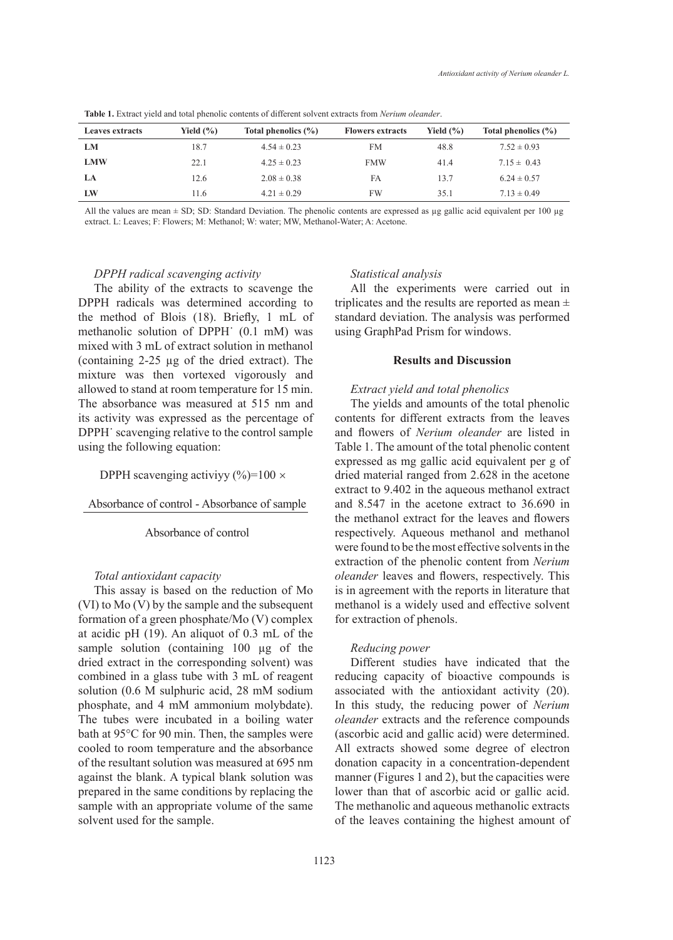| <b>Leaves extracts</b> | Yield $(\% )$ | Total phenolics (%) | <b>Flowers extracts</b> | Yield $(\% )$ | Total phenolics (%) |
|------------------------|---------------|---------------------|-------------------------|---------------|---------------------|
| LМ                     | 18.7          | $4.54 \pm 0.23$     | FM                      | 48.8          | $7.52 \pm 0.93$     |
| <b>LMW</b>             | 22.1          | $4.25 \pm 0.23$     | <b>FMW</b>              | 41.4          | $7.15 \pm 0.43$     |
| LA                     | 12.6          | $2.08 \pm 0.38$     | FA                      | 13.7          | $6.24 \pm 0.57$     |
| LW                     | 11.6          | $4.21 \pm 0.29$     | FW                      | 35.1          | $7.13 \pm 0.49$     |

**Table 1.** Extract yield and total phenolic contents of different solvent extracts from *Nerium oleander*.

All the values are mean  $\pm$  SD; Standard Deviation. The phenolic contents are expressed as  $\mu$ g gallic acid equivalent per 100  $\mu$ g extract. L: Leaves; F: Flowers; M: Methanol; W: water; MW, Methanol-Water; A: Acetone.

#### *DPPH radical scavenging activity*

The ability of the extracts to scavenge the DPPH radicals was determined according to the method of Blois (18). Briefly, 1 mL of methanolic solution of DPPH˙ (0.1 mM) was mixed with 3 mL of extract solution in methanol (containing 2-25 µg of the dried extract). The mixture was then vortexed vigorously and allowed to stand at room temperature for 15 min. The absorbance was measured at 515 nm and its activity was expressed as the percentage of DPPH˙ scavenging relative to the control sample using the following equation:

#### DPPH scavenging activiyy  $(\%)=100 \times$

#### Absorbance of control - Absorbance of sample

## Absorbance of control

#### *Total antioxidant capacity*

This assay is based on the reduction of Mo (VI) to Mo (V) by the sample and the subsequent formation of a green phosphate/Mo (V) complex at acidic pH (19). An aliquot of 0.3 mL of the sample solution (containing 100 µg of the dried extract in the corresponding solvent) was combined in a glass tube with 3 mL of reagent solution (0.6 M sulphuric acid, 28 mM sodium phosphate, and 4 mM ammonium molybdate). The tubes were incubated in a boiling water bath at 95°C for 90 min. Then, the samples were cooled to room temperature and the absorbance of the resultant solution was measured at 695 nm against the blank. A typical blank solution was prepared in the same conditions by replacing the sample with an appropriate volume of the same solvent used for the sample.

# *Statistical analysis*

All the experiments were carried out in triplicates and the results are reported as mean  $\pm$ standard deviation. The analysis was performed using GraphPad Prism for windows.

#### **Results and Discussion**

#### *Extract yield and total phenolics*

The yields and amounts of the total phenolic contents for different extracts from the leaves and flowers of *Nerium oleander* are listed in Table 1. The amount of the total phenolic content expressed as mg gallic acid equivalent per g of dried material ranged from 2.628 in the acetone extract to 9.402 in the aqueous methanol extract and 8.547 in the acetone extract to 36.690 in the methanol extract for the leaves and flowers respectively. Aqueous methanol and methanol were found to be the most effective solvents in the extraction of the phenolic content from *Nerium oleander* leaves and flowers, respectively. This is in agreement with the reports in literature that methanol is a widely used and effective solvent for extraction of phenols.

#### *Reducing power*

Different studies have indicated that the reducing capacity of bioactive compounds is associated with the antioxidant activity (20). In this study, the reducing power of *Nerium oleander* extracts and the reference compounds (ascorbic acid and gallic acid) were determined. All extracts showed some degree of electron donation capacity in a concentration-dependent manner (Figures 1 and 2), but the capacities were lower than that of ascorbic acid or gallic acid. The methanolic and aqueous methanolic extracts of the leaves containing the highest amount of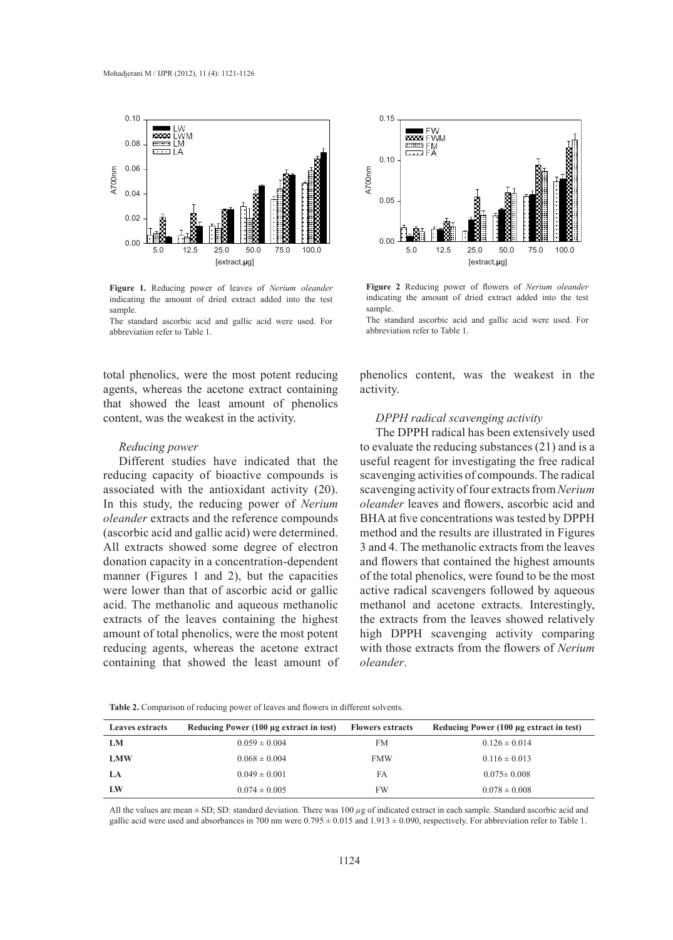

**Figure 1.** Reducing power of leaves of *Nerium oleander* indicating the amount of dried extract added into the test sample.

The standard ascorbic acid and gallic acid were used. For abbreviation refer to Table 1.

total phenolics, were the most potent reducing agents, whereas the acetone extract containing that showed the least amount of phenolics content, was the weakest in the activity.

## *Reducing power*

Different studies have indicated that the reducing capacity of bioactive compounds is associated with the antioxidant activity (20). In this study, the reducing power of *Nerium oleander* extracts and the reference compounds (ascorbic acid and gallic acid) were determined. All extracts showed some degree of electron donation capacity in a concentration-dependent manner (Figures 1 and 2), but the capacities were lower than that of ascorbic acid or gallic acid. The methanolic and aqueous methanolic extracts of the leaves containing the highest amount of total phenolics, were the most potent reducing agents, whereas the acetone extract containing that showed the least amount of **Table 2.** Comparison of reducing power of reducing the analysis of reducing the analysis of reducing the model of the came of the same of reducing the model of the same inducing the model of the same of the solution of re



**Figure 2** Reducing power of flowers of *Nerium oleander* indicating the amount of dried extract added into the test sample.

The standard ascorbic acid and gallic acid were used. For abbreviation refer to Table 1.

phenolics content, was the weakest in the activity.

#### *DPPH radical scavenging activity*

The DPPH radical has been extensively used to evaluate the reducing substances (21) and is a useful reagent for investigating the free radical scavenging activities of compounds. The radical scavenging activity of four extracts from *Nerium oleander* leaves and flowers, ascorbic acid and BHA at five concentrations was tested by DPPH method and the results are illustrated in Figures 3 and 4. The methanolic extracts from the leaves and flowers that contained the highest amounts of the total phenolics, were found to be the most active radical scavengers followed by aqueous methanol and acetone extracts. Interestingly, the extracts from the leaves showed relatively high DPPH scavenging activity comparing with those extracts from the flowers of *Nerium oleander*.

| <b>Leaves extracts</b> | Reducing Power (100 µg extract in test) | <b>Flowers extracts</b> | Reducing Power (100 µg extract in test) |
|------------------------|-----------------------------------------|-------------------------|-----------------------------------------|
| LМ                     | $0.059 \pm 0.004$                       | FM                      | $0.126 \pm 0.014$                       |
| <b>LMW</b>             | $0.068 \pm 0.004$                       | <b>FMW</b>              | $0.116 \pm 0.013$                       |
| LA                     | $0.049 \pm 0.001$                       | FA                      | $0.075 \pm 0.008$                       |
| LW                     | $0.074 \pm 0.005$                       | FW                      | $0.078 \pm 0.008$                       |

All the values are mean  $\pm$  SD; SD: standard deviation. There was 100  $\mu$ g of indicated extract in each sample. Standard ascorbic acid and gallic acid were used and absorbances in 700 nm were  $0.795 \pm 0.015$  and  $1.913 \pm 0.090$ , respectively. For abbreviation refer to Table 1.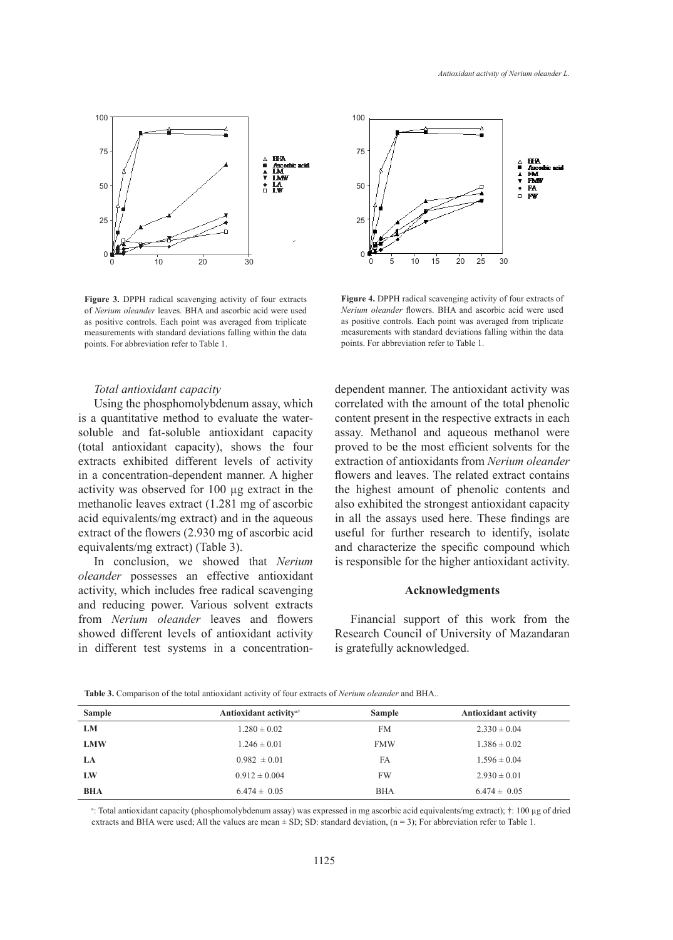

**Figure 3.** DPPH radical scavenging activity of four extracts of *Nerium oleander* leaves. BHA and ascorbic acid were used as positive controls. Each point was averaged from triplicate measurements with standard deviations falling within the data points. For abbreviation refer to Table 1.

# *Total antioxidant capacity*

Using the phosphomolybdenum assay, which is a quantitative method to evaluate the watersoluble and fat-soluble antioxidant capacity (total antioxidant capacity), shows the four extracts exhibited different levels of activity in a concentration-dependent manner. A higher activity was observed for 100 µg extract in the methanolic leaves extract (1.281 mg of ascorbic acid equivalents/mg extract) and in the aqueous extract of the flowers (2.930 mg of ascorbic acid equivalents/mg extract) (Table 3).

In conclusion, we showed that *Nerium oleander* possesses an effective antioxidant activity, which includes free radical scavenging and reducing power. Various solvent extracts from *Nerium oleander* leaves and flowers showed different levels of antioxidant activity in different test systems in a concentration-



**Figure 4.** DPPH radical scavenging activity of four extracts of *Nerium oleander* flowers. BHA and ascorbic acid were used as positive controls. Each point was averaged from triplicate measurements with standard deviations falling within the data points. For abbreviation refer to Table 1.

dependent manner. The antioxidant activity was correlated with the amount of the total phenolic content present in the respective extracts in each assay. Methanol and aqueous methanol were proved to be the most efficient solvents for the extraction of antioxidants from *Nerium oleander* flowers and leaves. The related extract contains the highest amount of phenolic contents and also exhibited the strongest antioxidant capacity in all the assays used here. These findings are useful for further research to identify, isolate and characterize the specific compound which is responsible for the higher antioxidant activity.

# **Acknowledgments**

Financial support of this work from the Research Council of University of Mazandaran is gratefully acknowledged.

| <b>Sample</b> | Antioxidant activity <sup>a†</sup> | <b>Sample</b> | <b>Antioxidant activity</b> |
|---------------|------------------------------------|---------------|-----------------------------|
| LM            | $1.280 \pm 0.02$                   | <b>FM</b>     | $2.330 \pm 0.04$            |
| <b>LMW</b>    | $1.246 \pm 0.01$                   | <b>FMW</b>    | $1.386 \pm 0.02$            |
| LA            | $0.982 \pm 0.01$                   | FA            | $1.596 \pm 0.04$            |
| LW            | $0.912 \pm 0.004$                  | <b>FW</b>     | $2.930 \pm 0.01$            |
| <b>BHA</b>    | $6.474 \pm 0.05$                   | <b>BHA</b>    | $6.474 \pm 0.05$            |

**Table 3.** Comparison of the total antioxidant activity of four extracts of *Nerium oleander* and BHA..

a : Total antioxidant capacity (phosphomolybdenum assay) was expressed in mg ascorbic acid equivalents/mg extract); †: 100 µg of dried extracts and BHA were used; All the values are mean  $\pm$  SD; SD: standard deviation, (n = 3); For abbreviation refer to Table 1.